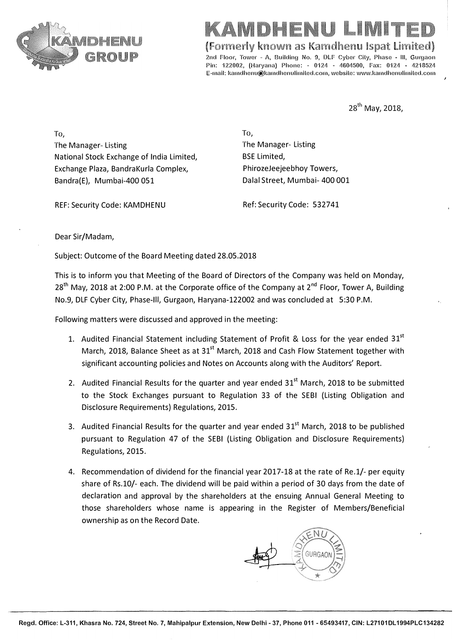

# **LI I**

**(Formerly known as Kamdhenu lspat Limited)** 

2nd Floor, Tower - A. Building No. 9, DLF Cyber City, Phase - III, Gurgaon Pin: 122002, (Haryana) Phone: - 0124 - 4604500, Fax: 0124 - 4218524 E-mail: kamdhenu@kamdhenulimited.com, website: www.kamdhenulimited.com

**28th May, 2018,**

**To,**  The Manager- Listing The Manager- Listing National Stock Exchange of India Limited, Exchange Plaza, BandraKurla Complex, Bandra(E), Mumbai-400 051

**To,**  BSE Limited, PhirozeJeejeebhoy Towers, Dalal Street, Mumbai- 400 001

REF: Security Code: KAMDHENU

Ref: Security Code: 532741

Dear Sir/Madam,

Subject: Outcome of the Board Meeting dated 28.05.2018

This is to inform you that Meeting of the Board of Directors of the Company was held on Monday, 28<sup>th</sup> May, 2018 at 2:00 P.M. at the Corporate office of the Company at 2<sup>nd</sup> Floor, Tower A, Building No.9, DLF Cyber City, Phase-Ill, Gurgaon, Haryana-122002 and was concluded at 5:30 P.M.

Following matters were discussed and approved in the meeting:

- 1. Audited Financial Statement including Statement of Profit & Loss for the year ended  $31^{st}$ March, 2018, Balance Sheet as at 31<sup>st</sup> March, 2018 and Cash Flow Statement together with significant accounting policies and Notes on Accounts along with the Auditors' Report.
- 2. Audited Financial Results for the quarter and year ended  $31<sup>st</sup>$  March, 2018 to be submitted to the Stock Exchanges pursuant to Regulation 33 of the SEBI (Listing Obligation and Disclosure Requirements) Regulations, 2015.
- 3. Audited Financial Results for the quarter and year ended  $31<sup>st</sup>$  March, 2018 to be published pursuant to Regulation 47 of the SEBI (Listing Obligation and Disclosure Requirements) Regulations, 2015.
- 4. Recommendation of dividend for the financial year 2017-18 at the rate of Re.1/- per equity share of Rs.10/- each. The dividend will be paid within a period of 30 days from the date of declaration and approval by the shareholders at the ensuing Annual General Meeting to those shareholders whose name is appearing in the Register of Members/Beneficial ownership as on the Record Date.

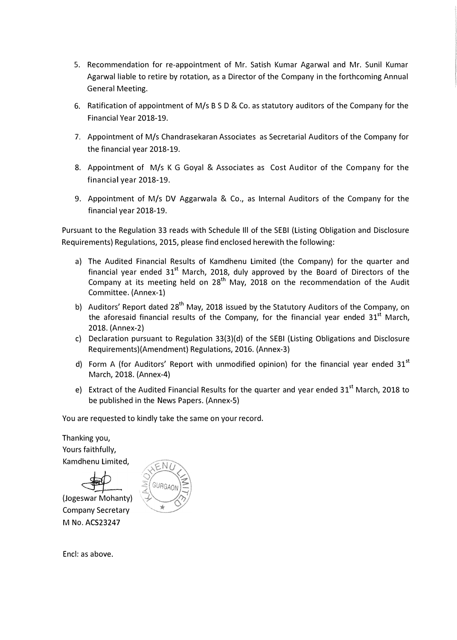- 5. Recommendation for re-appointment of Mr. Satish Kumar Agarwal and Mr. Sunil Kumar Agarwal liable to retire by rotation, as a Director of the Company in the forthcoming Annual General Meeting.
- 6. Ratification of appointment of M/s BS D & Co. as statutory auditors of the Company for the Financial Year 2018-19.
- 7. Appointment of M/s Chandrasekaran Associates as Secretarial Auditors of the Company for the financial year 2018-19.
- 8. Appointment of M/s K G Goyal & Associates as Cost Auditor of the Company for the financial year 2018-19.
- 9. Appointment of M/s DV Aggarwala & Co., as Internal Auditors of the Company for the financial year 2018-19.

Pursuant to the Regulation 33 reads with Schedule Ill of the SEBI (Listing Obligation and Disclosure Requirements) Regulations, 2015, please find enclosed herewith the following:

- a) The Audited Financial Results of Kamdhenu Limited (the Company) for the quarter and financial year ended  $31<sup>st</sup>$  March, 2018, duly approved by the Board of Directors of the Company at its meeting held on 28<sup>th</sup> May, 2018 on the recommendation of the Audit Committee. (Annex-1)
- b) Auditors' Report dated 28<sup>th</sup> May, 2018 issued by the Statutory Auditors of the Company, on the aforesaid financial results of the Company, for the financial year ended  $31<sup>st</sup>$  March, 2018. (Annex-2)
- c) Declaration pursuant to Regulation 33(3)(d) of the SEBI (Listing Obligations and Disclosure Requirements)(Amendment) Regulations, 2016. (Annex-3)
- d) Form A (for Auditors' Report with unmodified opinion) for the financial year ended  $31<sup>st</sup>$ March, 2018. (Annex-4)
- e) Extract of the Audited Financial Results for the quarter and year ended 31<sup>st</sup> March, 2018 to be published in the News Papers. (Annex-5)

You are requested to kindly take the same on your record.

Thanking you, Yours faithfully, Kamdhenu Limited,

(Jogeswar Mohanty) Company Secretary **M No. ACS23247** 



Encl: as above.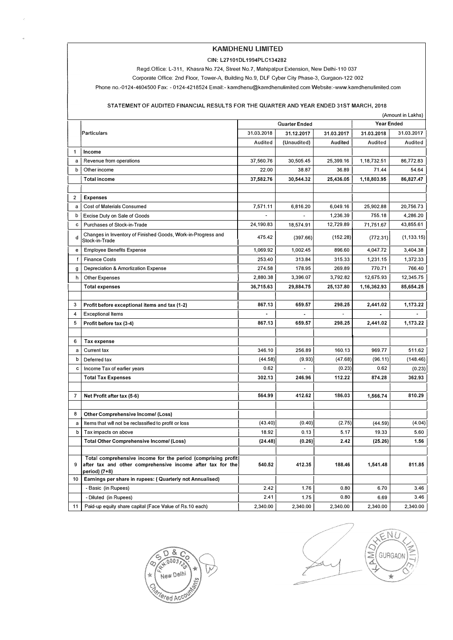## **KAMDHENU LIMITED**

#### **GIN: L27101DL 1994PLC134282**

Regd.Office: L-311, Khasra No.724, Street No.7, Mahipalpur Extension, New Delhi-110 037

Corporate Office: 2nd Floor, Tower-A, Building No. 9, DLF Cyber City Phase-3, Gurgaon-122 002

Phone no.-0124-4604500 Fax: - 0124-4218524 Email:- kamdhenu@kamdhenulimited.comWebsite:-www.kamdhenulimited.com

### **STATEMENT OF AUDITED FINANCIAL RESULTS FOR THE QUARTER AND YEAR ENDED 31ST MARCH, 2018**

|                | (Amount in Lakhs)                                                                                                                            |                                    |             |            |             |             |
|----------------|----------------------------------------------------------------------------------------------------------------------------------------------|------------------------------------|-------------|------------|-------------|-------------|
|                |                                                                                                                                              | Quarter Ended<br><b>Year Ended</b> |             |            |             |             |
|                | Particulars                                                                                                                                  | 31.03.2018                         | 31.12.2017  | 31.03.2017 | 31.03.2018  | 31.03.2017  |
|                |                                                                                                                                              | Audited                            | (Unaudited) | Audited    | Audited     | Audited     |
| 1              | Income                                                                                                                                       |                                    |             |            |             |             |
| a              | Revenue from operations                                                                                                                      |                                    | 30,505.45   | 25,399.16  | 1,18,732.51 | 86,772.83   |
| b              | Other income                                                                                                                                 | 22.00                              | 38.87       | 36.89      | 71.44       | 54.64       |
|                | <b>Total income</b>                                                                                                                          | 37,582.76                          | 30,544.32   | 25,436.05  | 1,18,803.95 | 86,827.47   |
|                |                                                                                                                                              |                                    |             |            |             |             |
| 2              | <b>Expenses</b>                                                                                                                              |                                    |             |            |             |             |
| a              | <b>Cost of Materials Consumed</b>                                                                                                            | 7,571.11                           | 6,816.20    | 6,049.16   | 25,902.88   | 20,756.73   |
| b              | Excise Duty on Sale of Goods                                                                                                                 |                                    |             | 1,236.39   | 755.18      | 4,286.20    |
| c              | Purchases of Stock-in-Trade                                                                                                                  | 24,190.83                          | 18,574.91   | 12,729.89  | 71,751,67   | 43,855.61   |
| d              | Changes in Inventory of Finished Goods, Work-in-Progress and<br>Stock-in-Trade                                                               | 475.42                             | (397.66)    | (152.28)   | (772.31)    | (1, 133.15) |
| е              | <b>Employee Benefits Expense</b>                                                                                                             | 1,069.92                           | 1,002.45    | 896.60     | 4,047.72    | 3,404.38    |
| f              | <b>Finance Costs</b>                                                                                                                         | 253.40                             | 313.84      | 315.33     | 1,231.15    | 1,372.33    |
| g              | Depreciation & Amortization Expense                                                                                                          | 274.58                             | 178.95      | 269.89     | 770.71      | 766.40      |
| h              | Other Expenses                                                                                                                               | 2,880.38                           | 3,396.07    | 3,792.82   | 12,675.93   | 12,345.75   |
|                | <b>Total expenses</b>                                                                                                                        | 36,715.63                          | 29,884.75   | 25,137.80  | 1,16,362.93 | 85,654.25   |
|                |                                                                                                                                              |                                    |             |            |             |             |
| 3              | Profit before exceptional items and tax (1-2)                                                                                                | 867.13                             | 659.57      | 298.25     | 2,441.02    | 1,173.22    |
| 4              | <b>Exceptional Items</b>                                                                                                                     |                                    |             |            |             |             |
| 5              | Profit before tax (3-4)                                                                                                                      | 867.13                             | 659.57      | 298.25     | 2,441.02    | 1,173.22    |
|                |                                                                                                                                              |                                    |             |            |             |             |
| 6              | Tax expense                                                                                                                                  |                                    |             |            |             |             |
| a              | Current tax                                                                                                                                  | 346.10                             | 256.89      | 160.13     | 969.77      | 511.62      |
| b              | Deferred tax                                                                                                                                 | (44.58)                            | (9.93)      | (47.68)    | (96.11)     | (148.46)    |
| c              | Income Tax of earlier years                                                                                                                  | 0.62                               |             | (0.23)     | 0.62        | (0.23)      |
|                | <b>Total Tax Expenses</b>                                                                                                                    | 302.13                             | 246.96      | 112.22     | 874.28      | 362.93      |
|                |                                                                                                                                              |                                    |             |            |             |             |
| $\overline{7}$ | Net Profit after tax (5-6)                                                                                                                   | 564.99                             | 412.62      | 186.03     | 1,566.74    | 810.29      |
|                |                                                                                                                                              |                                    |             |            |             |             |
| 8              | <b>Other Comprehensive Income/ (Loss)</b>                                                                                                    |                                    |             |            |             |             |
| a              | Items that will not be reclassified to profit or loss                                                                                        | (43.40)                            | (0.40)      | (2.75)     | (44.59)     | (4.04)      |
| b              | Tax impacts on above                                                                                                                         | 18.92                              | 0.13        | 5.17       | 19.33       | 5.60        |
|                | <b>Total Other Comprehensive Income/ (Loss)</b>                                                                                              | (24.48)                            | (0.26)      | 2.42       | (25.26)     | 1.56        |
|                |                                                                                                                                              |                                    |             |            |             |             |
| 9              | Total comprehensive income for the period (comprising profit)<br>after tax and other comprehensive income after tax for the<br>period) (7+8) | 540.52                             | 412.35      | 188.46     | 1,541.48    | 811.85      |
| 10             | Earnings per share in rupees: (Quarterly not Annualised)                                                                                     |                                    |             |            |             |             |
|                | - Basic (in Rupees)                                                                                                                          | 2.42                               | 1.76        | 0.80       | 6.70        | 3.46        |
|                | - Diluted (in Rupees)                                                                                                                        | 2.41                               | 1.75        | 0.80       | 6.69        | 3.46        |
| 11             | Paid-up equity share capital (Face Value of Rs.10 each)                                                                                      | 2,340.00                           | 2,340.00    | 2,340.00   | 2,340.00    | 2,340.00    |



N **AND** GURGAO  $\frac{1}{\sqrt{2}}$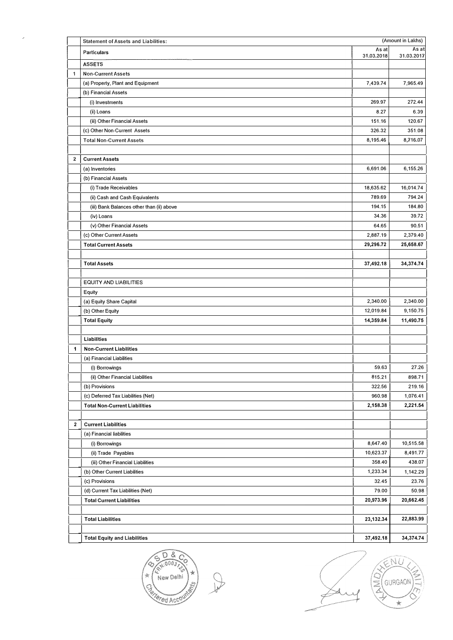|              | (Amount in Lakhs)<br><b>Statement of Assets and Liabilities:</b> |                     |                     |
|--------------|------------------------------------------------------------------|---------------------|---------------------|
|              | <b>Particulars</b>                                               | As at<br>31.03.2018 | As at<br>31.03.2017 |
|              | <b>ASSETS</b>                                                    |                     |                     |
| $\mathbf{1}$ | <b>Non-Current Assets</b>                                        |                     |                     |
|              | (a) Property, Plant and Equipment                                | 7,439.74            | 7,965.49            |
|              | (b) Financial Assets                                             |                     |                     |
|              | (i) Investments                                                  | 269.97              | 272.44              |
|              | (ii) Loans                                                       | 8.27                | 6.39                |
|              | (iii) Other Financial Assets                                     | 151.16              | 120.67              |
|              | (c) Other Non-Current Assets                                     | 326.32              | 351.08              |
|              | <b>Total Non-Current Assets</b>                                  | 8,195.46            | 8,716.07            |
|              |                                                                  |                     |                     |
| 2            | <b>Current Assets</b>                                            |                     |                     |
|              | (a) Inventories                                                  | 6,691.06            | 6,155.26            |
|              | (b) Financial Assets                                             |                     |                     |
|              | (i) Trade Receivables                                            | 18,635.62           | 16,014.74           |
|              | (ii) Cash and Cash Equivalents                                   | 789.69              | 794.24              |
|              | (iii) Bank Balances other than (ii) above                        | 194.15              | 184.80              |
|              | (iv) Loans                                                       | 34.36               | 39.72               |
|              | (v) Other Financial Assets                                       | 64.65               | 90.51               |
|              | (c) Other Current Assets                                         | 2,887.19            | 2,379.40            |
|              | <b>Total Current Assets</b>                                      | 29,296.72           | 25,658.67           |
|              |                                                                  |                     |                     |
|              | <b>Total Assets</b>                                              | 37,492.18           | 34,374.74           |
|              |                                                                  |                     |                     |
|              | <b>EQUITY AND LIABILITIES</b>                                    |                     |                     |
|              | Equity                                                           |                     |                     |
|              | (a) Equity Share Capital                                         | 2,340.00            | 2,340.00            |
|              | (b) Other Equity                                                 | 12,019.84           | 9,150.75            |
|              | <b>Total Equity</b>                                              | 14,359.84           | 11,490.75           |
|              |                                                                  |                     |                     |
|              | Liabilities                                                      |                     |                     |
| 1            | <b>Non-Current Liabilities</b>                                   |                     |                     |
|              | (a) Financial Liabilities                                        |                     |                     |
|              | (i) Borrowings                                                   | 59,63               | 27.26               |
|              | (ii) Other Financial Liabilities                                 | 815.21              | 898.71              |
|              | (b) Provisions                                                   | 322.56              | 219.16              |
|              | (c) Deferred Tax Liabilities (Net)                               | 960,98              | 1,076.41            |
|              | <b>Total Non-Current Liabilities</b>                             | 2,158.38            | 2,221.54            |
|              |                                                                  |                     |                     |
| 2            | <b>Current Liabilities</b>                                       |                     |                     |
|              | (a) Financial liabilities                                        |                     |                     |
|              | (i) Borrowings                                                   | 8,647.40            | 10,515.58           |
|              | (ii) Trade Payables                                              | 10,623.37           | 8,491.77            |
|              | (iii) Other Financial Liabilities                                | 358.40              | 438.07              |
|              | (b) Other Current Liabilities                                    | 1,233.34            | 1,142.29            |
|              | (c) Provisions                                                   | 32.45               | 23.76               |
|              | (d) Current Tax Liabilities (Net)                                | 79.00               | 50.98               |
|              | <b>Total Current Liabilities</b>                                 | 20,973.96           | 20,662.45           |
|              |                                                                  |                     |                     |
|              | <b>Total Liabilities</b>                                         | 23,132.34           | 22,883.99           |
|              |                                                                  |                     |                     |
|              | <b>Total Equity and Liabilities</b>                              | 37,492.18           | 34,374.74           |



 $\hat{\vec{r}}$ 

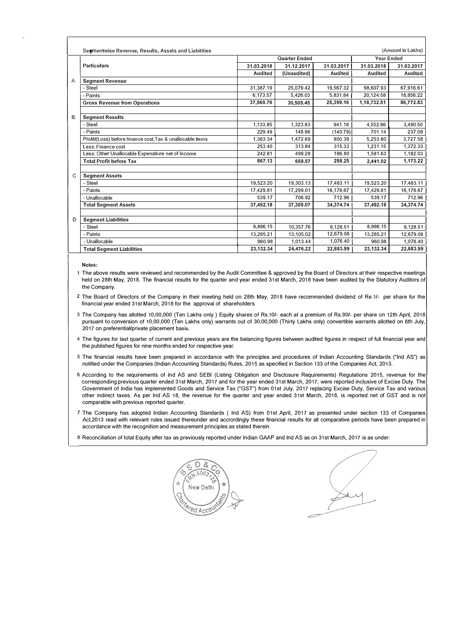|    | Segmentwise Revenue, Results, Assets and Liabilities<br>(Amount in Lakhs) |                |             |                |                   |            |
|----|---------------------------------------------------------------------------|----------------|-------------|----------------|-------------------|------------|
|    |                                                                           | Quarter Ended  |             |                | <b>Year Ended</b> |            |
|    | Particulars                                                               | 31.03.2018     | 31.12.2017  | 31.03.2017     | 31.03.2018        | 31.03.2017 |
|    |                                                                           | <b>Audited</b> | (Unaudited) | <b>Audited</b> | Audited           | Audited    |
| А. | <b>Segment Revenue</b>                                                    |                |             |                |                   |            |
|    | - Steel                                                                   | 31,387.19      | 25.079.42   | 19,567,32      | 98.607.93         | 67,916.61  |
|    | - Paints                                                                  | 6.173.57       | 5.426.03    | 5.831.84       | 20,124.58         | 18,856.22  |
|    | <b>Gross Revenue from Operations</b>                                      | 37,560.76      | 30,505.45   | 25,399.16      | 1,18,732.51       | 86,772.83  |
|    |                                                                           |                |             |                |                   |            |
| В. | <b>Segment Results</b>                                                    |                |             |                |                   |            |
|    | - Steel                                                                   | 1,133,85       | 1,323.83    | 941.18         | 4,552.66          | 3,490.50   |
|    | - Paints                                                                  | 229.49         | 148.86      | (140.79)       | 701.14            | 237.08     |
|    | Profit/(Loss) before finance cost, Tax & unallocable items                | 1.363.34       | 1.472.69    | 800.39         | 5.253.80          | 3.727.58   |
|    | Less: Finance cost                                                        | 253,40         | 313.84      | 315.33         | 1,231.15          | 1,372.33   |
|    | Less: Other Unallocable Expenditure net of Income                         | 242.81         | 499.28      | 186.80         | 1.581.63          | 1,182.03   |
|    | <b>Total Profit before Tax</b>                                            | 867.13         | 659.57      | 298.25         | 2,441.02          | 1,173.22   |
|    |                                                                           |                |             |                |                   |            |
| C  | <b>Segment Assets</b>                                                     |                |             |                |                   |            |
|    | - Steel                                                                   | 19,523.20      | 19.303.13   | 17,483.11      | 19,523.20         | 17,483.11  |
|    | - Paints                                                                  | 17,429.81      | 17.299.01   | 16,178,67      | 17,429.81         | 16,178.67  |
|    | - Unallocable                                                             | 539.17         | 706.92      | 712.96         | 539.17            | 712.96     |
|    | <b>Total Segment Assets</b>                                               | 37,492.18      | 37,309.07   | 34,374.74      | 37,492.18         | 34,374.74  |
|    |                                                                           |                |             |                |                   |            |
| D  | <b>Segment Liabilities</b>                                                |                |             |                |                   |            |
|    | - Steel                                                                   | 8,886.15       | 10,357.76   | 9,128.51       | 8,886.15          | 9.128.51   |
|    | - Paints                                                                  | 13.285.21      | 13,105.02   | 12,679.08      | 13.285.21         | 12,679.08  |
|    | - Unallocable                                                             | 960.98         | 1.013.44    | 1,076.40       | 960.98            | 1,076.40   |
|    | <b>Total Segment Liabilities</b>                                          | 23,132.34      | 24,476.22   | 22,883.99      | 23,132.34         | 22,883.99  |
|    |                                                                           |                |             |                |                   |            |

**Notes:** 

1 The above results were reviewed and recommended by the Audit Committee & approved by the Board of Directors at their respective meetings held on 28th May, 2018. The financial results for the quarter and year ended 31st March, 2018 have been audited by the Statutory Auditors of the Company.

2 The Board of Directors of the Company in their meeting held on 28th May, 2018 have recommended dividend of Re.1/- per share for the financial year ended 31st March, 2018 for the approval of shareholders.

3 The Company has allotted 10,00,000 (Ten Lakhs only ) Equity shares of Rs.10/- each at a premium of Rs.90/- per share on 12th April, 2018 pursuant to conversion of 10,00,000 (Ten Lakhs only) warrants out of 30,00,000 (Thirty Lakhs only) convertible warrants allotted on 6th July, 2017 on preferential/private placement basis.

- 4 The figures for last quarter of current and previous years are the balancing figures between audited figures in respect of full financial year and the published figures for nine months ended for respective year.
- 5 The financial results have been prepared in accordance with the principles and procedures of Indian Accounting Standards ("Ind AS") as notified under the Companies (Indian Accounting Standards) Rules, 2015 as specified in Section 133 of the Companies Act, 2013.
- 6 According to the requirements of Ind AS and SEBI (Listing Obligation and Disclosure Requirements) Regulations 2015, revenue for the corresponding previous quarter ended 31st March, 2017 and for the year ended 31st March, 2017, were reported inclusive of Excise Duty. The Government of India has implemented Goods and Service Tax ("GST") from 01st July, 2017 replacing Excise Duty, Service Tax and various other indirect taxes. As per Ind AS 18, the revenue for the quarter and year ended 31st March, 2018, is reported net of GST and is not comparable with previous reported quarter.
- 7 The Company has adopted Indian Accounting Standards ( Ind AS) from 01st April, 2017 as presented under section 133 of Companies Act,2013 read with relevant rules issued thereunder and accrordingly these financial results for all comparative periods have been prepared in accordance with the recognition and measurement principles as stated therein
- 8 Reconciliation of total Equity after tax as previously reported under Indian GAAP and Ind AS as on 31st March, 2017 is as under:

n R ົດດີກີ New Dathi Ced Accou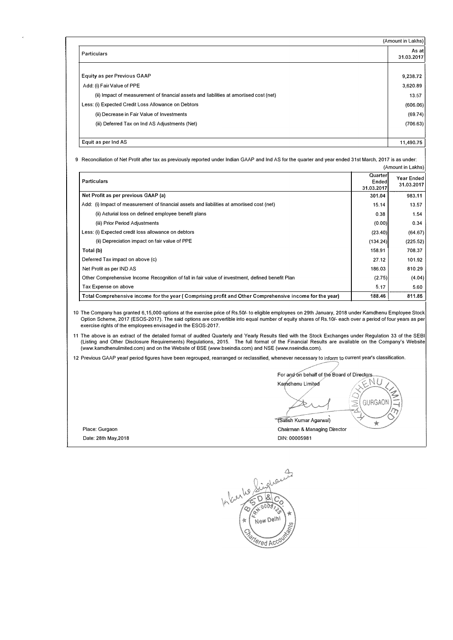|                                                                                        | (Amount in Lakhs)   |
|----------------------------------------------------------------------------------------|---------------------|
| Particulars                                                                            | As at<br>31.03.2017 |
|                                                                                        |                     |
| Equity as per Previous GAAP                                                            | 9,238.72            |
| Add: (i) Fair Value of PPE                                                             | 3,620.89            |
| (ii) Impact of measurement of financial assets and liabilities at amortised cost (net) | 13.57               |
| Less: (i) Expected Credit Loss Allowance on Debtors                                    | (606.06)            |
| (ii) Decrease in Fair Value of Investments                                             | (69.74)             |
| (iii) Deferred Tax on Ind AS Adjustments (Net)                                         | (706.63)            |
| Equit as per Ind AS                                                                    | 11,490.75           |

9 Reconciliation of Net Profit after tax as previously reported under Indian GAAP and Ind AS for the quarter and year ended 31st March, 2017 is as under: ount in Lakhs)

|  | i Allivulli III Laniis |
|--|------------------------|
|  |                        |

| <b>Particulars</b>                                                                                      | Quarter<br>Ended<br>31.03.2017 | Year Ended<br>31.03.2017 |
|---------------------------------------------------------------------------------------------------------|--------------------------------|--------------------------|
| Net Profit as per previous GAAP (a)                                                                     | 301.04                         | 983.11                   |
| Add: (i) Impact of measurement of financial assets and liabilities at amortised cost (net)              | 15.14                          | 13.57                    |
| (ii) Acturial loss on defined employee benefit plans                                                    | 0.38                           | 1.54                     |
| (iii) Prior Period Adjustments                                                                          | (0.00)                         | 0.34                     |
| Less: (i) Expected credit loss allowance on debtors                                                     | (23.40)                        | (64.67)                  |
| (ii) Depreciation impact on fair value of PPE                                                           | (134.24)                       | (225.52)                 |
| Total (b)                                                                                               | 158.91                         | 708.37                   |
| Deferred Tax impact on above (c)                                                                        | 27.12                          | 101.92                   |
| Net Profit as per IND AS                                                                                | 186.03                         | 810.29                   |
| Other Comprehensive Income Recognition of fall in fair value of investment, defined benefit Plan        | (2.75)                         | (4.04)                   |
| Tax Expense on above                                                                                    |                                | 5.60                     |
| Total Comprehensive income for the year (Comprising profit and Other Comprehensive income for the year) | 188.46                         | 811.85                   |

1 o The Company has granted 6, 15,000 options at the exercise price of Rs.50/- to eligible employees on 29th January, 2018 under Kamdhenu Employee Stock Option Scheme, 2017 (ESOS-2017). The said options are convertible into equal number of equity shares of Rs.10/- each over a period of four years as per exercise rights of the employees envisaged in the ESOS-2017.

11 The above is an extract of the detailed format of audited Quarterly and Yearly Results filed with the Stock Exchanges under Regulation 33 of the SEBI<br>Listing and Other Disclosure Requirements) Regulations, 2015. The fu (www.kamdhenulimited.com) and on the Website of BSE (www.bseindia.com) and NSE (www.nseindia.com).

12 Previous GAAP year/ period figures have been regrouped, rearranged or reclassified, whenever necessary to inform to current year's classification.

For and on behalf of the Board of Directors N Kamdhenu Limited  $\frac{1}{2}$ GURGAON (Satish Kumar Agarwal)  $\star$ Chairman & Managing Director

Place: Gurgaon Date: 28th May, 2018 **Dines and Struck and Struck and Struck and Struck and Dines Dines Dines Dines Of Dines D** 

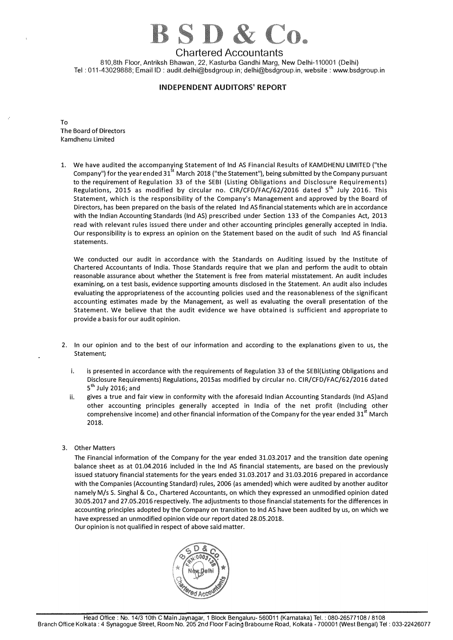# $3.5.0 \&$  Co.

# Chartered Accountants

810,8th Floor, Antriksh Bhawan, 22, Kasturba Gandhi Marg, New Delhi-110001 (Delhi) Tel: 011-43029888; Email ID: audit.delhi@bsdgroup.in; delhi@bsdgroup.in, website: www.bsdgroup.in

# **INDEPENDENT AUDITORS' REPORT**

To The Board of Directors Kamdhenu Limited

1. We have audited the accompanying Statement of Ind AS Financial Results of KAMDHENU LIMITED ("the Company") for the year ended 31<sup>st</sup> March 2018 ("the Statement"), being submitted by the Company pursuant to the requirement of Regulation 33 of the SEBI (Listing Obligations and Disclosure Requirements) Regulations, 2015 as modified by circular no. CIR/CFD/FAC/62/2016 dated 5<sup>th</sup> July 2016. This Statement, which is the responsibility of the Company's Management and approved by the Board of Directors, has been prepared on the basis of the related Ind AS financial statements which are in accordance with the Indian Accounting Standards (Ind AS) prescribed under Section 133 of the Companies Act, 2013 read with relevant rules issued there under and other accounting principles generally accepted in India. Our responsibility is to express an opinion on the Statement based on the audit of such Ind AS financial statements.

We conducted our audit in accordance with the Standards on Auditing issued by the Institute of Chartered Accountants of India. Those Standards require that we plan and perform the audit to obtain reasonable assurance about whether the Statement is free from material misstatement. An audit includes examining, on a test basis, evidence supporting amounts disclosed in the Statement. An audit also includes evaluating the appropriateness of the accounting policies used and the reasonableness of the significant accounting estimates made by the Management, as well as evaluating the overall presentation of the Statement. We believe that the audit evidence we have obtained is sufficient and appropriate to provide a basis for our audit opinion.

- 2. In our opinion and to the best of our information and according to the explanations given to us, the Statement;
	- i. is presented in accordance with the requirements of Regulation 33 of the SEBl(Listing Obligations and Disclosure Requirements) Regulations, 2015as modified by circular no. CIR/CFD/FAC/62/2016 dated 5<sup>th</sup> July 2016; and
	- ii. gives a true and fair view in conformity with the aforesaid Indian Accounting Standards (Ind AS)and other accounting principles generally accepted in India of the net profit (Including other comprehensive income) and other financial information of the Company for the year ended 31<sup>st</sup> March 2018.
- 3. Other Matters

The Financial information of the Company for the year ended 31.03.2017 and the transition date opening balance sheet as at 01.04.2016 included in the Ind AS financial statements, are based on the previously issued statuary financial statements for the years ended 31.03.2017 and 31.03.2016 prepared in accordance with the Companies (Accounting Standard) rules, 2006 (as amended) which were audited by another auditor namely M/s S. Singhal & Co., Chartered Accountants, on which they expressed an unmodified opinion dated 30.05.2017 and 27.05.2016 respectively. The adjustments to those financial statements for the differences in accounting principles adopted by the Company on transition to Ind AS have been audited by us, on which we have expressed an unmodified opinion vide our report dated 28.05.2018.



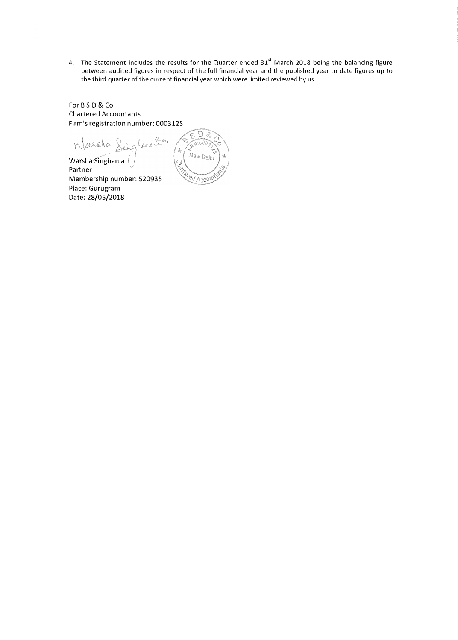4. The Statement includes the results for the Quarter ended  $31<sup>st</sup>$  March 2018 being the balancing figure between audited figures in respect of the full financial year and the published year to date figures up to the third quarter of the current financial year which were limited reviewed by us.

For BSD & Co. Chartered Accountants Firm's registration number: 0003125

Wassle Sing lai Warsha Singhania Partner

Membership number: 520935 Place: Gurugram Date: 28/05/2018

 $\overline{D}$   $\overline{S}$ Ğ,  $\sqrt{000}$ Ŕ New Delhi  $\sqrt{\frac{2}{3}}$ *ered Accou*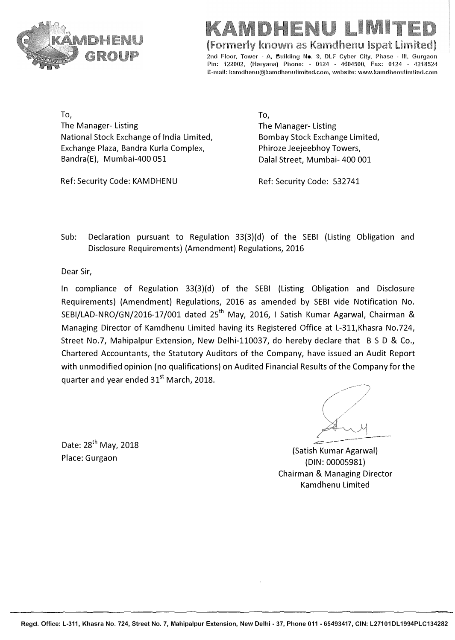

IMIT

**(Formerly known as Kamdhenu lspat Limited)** 

2nd Floor, Tower - A, Building No. 9, DLF Cyber City, Phase - III, Gurgaon Pin: 122002, (Haryana) Phone: - 0124 - 4604500, Fax: 0124 - 4218524 E-mail: kamdhenu@kamdhenulimited.com, website: www.kamdhenulimited.com

**To,**  The Manager- Listing National Stock Exchange of India Limited, Exchange Plaza, Bandra Kurla Complex, Bandra(E), Mumbai-400 051

To, The Manager- Listing Bombay Stock Exchange Limited, Phiroze Jeejeebhoy Towers, Dalal Street, Mumbai- 400 001

Ref: Security Code: KAMDHENU

Ref: Security Code: 532741

Sub: Declaration pursuant to Regulation 33(3)(d) of the SEBI (Listing Obligation and Disclosure Requirements) (Amendment) Regulations, 2016

Dear Sir,

In compliance of Regulation 33{3)(d) of the SEBI (Listing Obligation and Disclosure Requirements) (Amendment) Regulations, 2016 as amended by SEBI vide Notification No. SEBI/LAD-NRO/GN/2016-17/001 dated 25<sup>th</sup> May, 2016, I Satish Kumar Agarwal, Chairman & Managing Director of Kamdhenu Limited having its Registered Office at L-311,Khasra No.724, Street No.7, Mahipalpur Extension, New Delhi-110037, do hereby declare that B S D & Co., Chartered Accountants, the Statutory Auditors of the Company, have issued an Audit Report with unmodified opinion (no qualifications) on Audited Financial Results of the Company for the quarter and year ended 31<sup>st</sup> March, 2018.

Date: 28<sup>th</sup> May, 2018 Place: Gurgaon

--------) / / */* / */ / ( ,/ ..:::=:=---- �--*

(Satish Kumar Agarwal) (DIN: 00005981) Chairman & Managing Director Kamdhenu Limited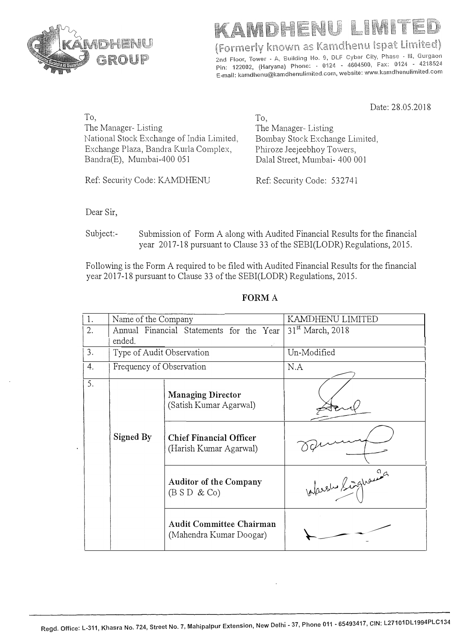

(Formerly known as Kamdhenu Ispat Limited)

2nd Floor, Tower - A, Building No. 9, DLF Cyber City, Phase - III, Gurgaon 2nd Floor, Tower - A, Bullding No. 5, DLP Cyber Oliy, 1985 0.4, 4218524<br>Pin: 122002, (Haryana) Phone: - 0124 - 4604500, Fax: 0124 - 4218524 Pin: 122002, (Haryana) Phone: 3 0124 3 4004556, 142. 512. 11-11-12-1.<br>E-mail: kamdhenu@kamdhenulimited.com, website: www.kamdhenulimited.com

Date: 28.05.2018

| To,                                       | Tо.                            |
|-------------------------------------------|--------------------------------|
| The Manager - Listing                     | The Manager-Listing            |
| National Stock Exchange of India Limited, | Bombay Stock Exchange Limited, |
| Exchange Plaza, Bandra Kurla Complex,     | Phiroze Jeejeebhoy Towers,     |
| Bandra(E), Mumbai-400 051                 | Dalal Street, Mumbai- 400 001  |
|                                           |                                |

Ref: Security Code: KAMDHENU Ref: Security Code: 532741

Dear Sir,

Subject:- Submission of Form A along with Audited Financial Results for the financial year 2017-18 pursuant to Clause 33 of the SEBI(LODR) Regulations, 2015.

Following is the Form A required to be filed with Audited Financial Results for the financial year 2017-18 pursuant to Clause 33 of the SEBI(LODR) Regulations, 2015.

| 1. | Name of the Company                                                                                                         |                                                            | KAMDHENU LIMITED             |  |
|----|-----------------------------------------------------------------------------------------------------------------------------|------------------------------------------------------------|------------------------------|--|
| 2. |                                                                                                                             | Annual Financial Statements for the Year                   | 31 <sup>st</sup> March, 2018 |  |
|    | ended.                                                                                                                      |                                                            |                              |  |
| 3. | Type of Audit Observation                                                                                                   |                                                            | Un-Modified                  |  |
| 4. | Frequency of Observation                                                                                                    |                                                            | N.A                          |  |
| 5. | <b>Managing Director</b><br>(Satish Kumar Agarwal)<br>Signed By<br><b>Chief Financial Officer</b><br>(Harish Kumar Agarwal) |                                                            |                              |  |
|    |                                                                                                                             |                                                            |                              |  |
|    | <b>Auditor of the Company</b><br>(B S D & C o)                                                                              |                                                            | Alarely Linghaman            |  |
|    |                                                                                                                             | <b>Audit Committee Chairman</b><br>(Mahendra Kumar Doogar) |                              |  |

**FORMA**